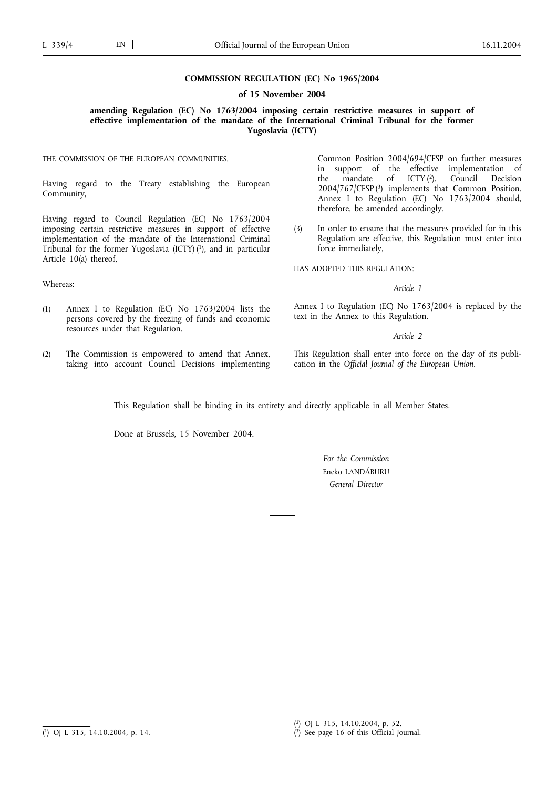## **COMMISSION REGULATION (EC) No 1965/2004**

## **of 15 November 2004**

**amending Regulation (EC) No 1763/2004 imposing certain restrictive measures in support of effective implementation of the mandate of the International Criminal Tribunal for the former Yugoslavia (ICTY)**

THE COMMISSION OF THE EUROPEAN COMMUNITIES,

Having regard to the Treaty establishing the European Community,

Having regard to Council Regulation (EC) No 1763/2004 imposing certain restrictive measures in support of effective implementation of the mandate of the International Criminal Tribunal for the former Yugoslavia (ICTY) $(1)$ , and in particular Article 10(a) thereof,

Whereas:

- (1) Annex I to Regulation (EC) No 1763/2004 lists the persons covered by the freezing of funds and economic resources under that Regulation.
- (2) The Commission is empowered to amend that Annex, taking into account Council Decisions implementing

Common Position 2004/694/CFSP on further measures in support of the effective implementation of the mandate of ICTY  $(2)$ . Council Decision the mandate of ICTY (2). Council Decision 2004/767/CFSP (3) implements that Common Position. Annex I to Regulation (EC) No 1763/2004 should, therefore, be amended accordingly.

(3) In order to ensure that the measures provided for in this Regulation are effective, this Regulation must enter into force immediately,

HAS ADOPTED THIS REGULATION:

*Article 1*

Annex I to Regulation (EC) No 1763/2004 is replaced by the text in the Annex to this Regulation.

*Article 2*

This Regulation shall enter into force on the day of its publication in the *Official Journal of the European Union*.

This Regulation shall be binding in its entirety and directly applicable in all Member States.

Done at Brussels, 15 November 2004.

*For the Commission* Eneko LANDÁBURU *General Director*

<sup>(</sup> 1) OJ L 315, 14.10.2004, p. 14.

<sup>(</sup> 2) OJ L 315, 14.10.2004, p. 52.

<sup>(</sup> 3) See page 16 of this Official Journal.